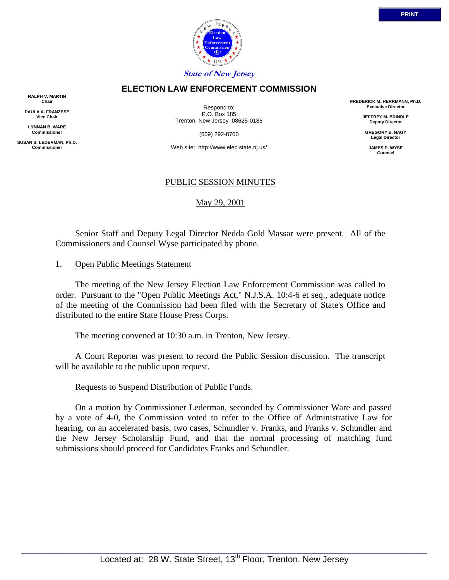

## **ELECTION LAW ENFORCEMENT COMMISSION**

**RALPH V. MARTIN Chair**

**PAULA A. FRANZESE Vice Chair**

**LYNNAN B. WARE Commissioner**

**SUSAN S. LEDERMAN, Ph.D. Commissioner**

Respond to: P.O. Box 185 Trenton, New Jersey 08625-0185

(609) 292-8700

Web site: http://www.elec.state.nj.us/

## PUBLIC SESSION MINUTES

May 29, 2001

 Senior Staff and Deputy Legal Director Nedda Gold Massar were present. All of the Commissioners and Counsel Wyse participated by phone.

## 1. Open Public Meetings Statement

 The meeting of the New Jersey Election Law Enforcement Commission was called to order. Pursuant to the "Open Public Meetings Act," N.J.S.A. 10:4-6 et seq., adequate notice of the meeting of the Commission had been filed with the Secretary of State's Office and distributed to the entire State House Press Corps.

The meeting convened at 10:30 a.m. in Trenton, New Jersey.

 A Court Reporter was present to record the Public Session discussion. The transcript will be available to the public upon request.

#### Requests to Suspend Distribution of Public Funds.

 On a motion by Commissioner Lederman, seconded by Commissioner Ware and passed by a vote of 4-0, the Commission voted to refer to the Office of Administrative Law for hearing, on an accelerated basis, two cases, Schundler v. Franks, and Franks v. Schundler and the New Jersey Scholarship Fund, and that the normal processing of matching fund submissions should proceed for Candidates Franks and Schundler.

**FREDERICK M. HERRMANN, Ph.D. Executive Director JEFFREY M. BRINDLE Deputy Director GREGORY E. NAGY Legal Director JAMES P. WYSE Counsel**